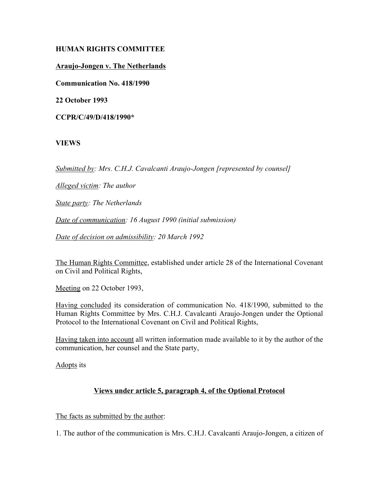# **HUMAN RIGHTS COMMITTEE**

#### **Araujo-Jongen v. The Netherlands**

**Communication No. 418/1990**

**22 October 1993**

**CCPR/C/49/D/418/1990\***

# **VIEWS**

*Submitted by: Mrs. C.H.J. Cavalcanti Araujo-Jongen [represented by counsel]*

*Alleged victim: The author*

*State party: The Netherlands*

*Date of communication: 16 August 1990 (initial submission)*

*Date of decision on admissibility: 20 March 1992*

The Human Rights Committee, established under article 28 of the International Covenant on Civil and Political Rights,

Meeting on 22 October 1993,

Having concluded its consideration of communication No. 418/1990, submitted to the Human Rights Committee by Mrs. C.H.J. Cavalcanti Araujo-Jongen under the Optional Protocol to the International Covenant on Civil and Political Rights,

Having taken into account all written information made available to it by the author of the communication, her counsel and the State party,

Adopts its

# **Views under article 5, paragraph 4, of the Optional Protocol**

The facts as submitted by the author:

1. The author of the communication is Mrs. C.H.J. Cavalcanti Araujo-Jongen, a citizen of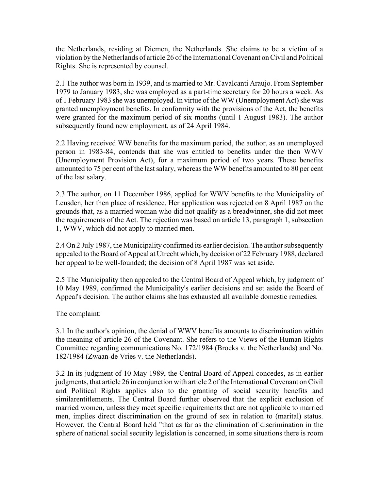the Netherlands, residing at Diemen, the Netherlands. She claims to be a victim of a violation by the Netherlands of article 26 of the International Covenant on Civil and Political Rights. She is represented by counsel.

2.1 The author was born in 1939, and is married to Mr. Cavalcanti Araujo. From September 1979 to January 1983, she was employed as a part-time secretary for 20 hours a week. As of 1 February 1983 she was unemployed. In virtue of the WW (Unemployment Act) she was granted unemployment benefits. In conformity with the provisions of the Act, the benefits were granted for the maximum period of six months (until 1 August 1983). The author subsequently found new employment, as of 24 April 1984.

2.2 Having received WW benefits for the maximum period, the author, as an unemployed person in 1983-84, contends that she was entitled to benefits under the then WWV (Unemployment Provision Act), for a maximum period of two years. These benefits amounted to 75 per cent of the last salary, whereas the WW benefits amounted to 80 per cent of the last salary.

2.3 The author, on 11 December 1986, applied for WWV benefits to the Municipality of Leusden, her then place of residence. Her application was rejected on 8 April 1987 on the grounds that, as a married woman who did not qualify as a breadwinner, she did not meet the requirements of the Act. The rejection was based on article 13, paragraph 1, subsection 1, WWV, which did not apply to married men.

2.4 On 2 July 1987, the Municipality confirmed its earlier decision. The author subsequently appealed to the Board of Appeal at Utrecht which, by decision of 22 February 1988, declared her appeal to be well-founded; the decision of 8 April 1987 was set aside.

2.5 The Municipality then appealed to the Central Board of Appeal which, by judgment of 10 May 1989, confirmed the Municipality's earlier decisions and set aside the Board of Appeal's decision. The author claims she has exhausted all available domestic remedies.

# The complaint:

3.1 In the author's opinion, the denial of WWV benefits amounts to discrimination within the meaning of article 26 of the Covenant. She refers to the Views of the Human Rights Committee regarding communications No. 172/1984 (Broeks v. the Netherlands) and No. 182/1984 (Zwaan-de Vries v. the Netherlands).

3.2 In its judgment of 10 May 1989, the Central Board of Appeal concedes, as in earlier judgments, that article 26 in conjunction with article 2 of the International Covenant on Civil and Political Rights applies also to the granting of social security benefits and similarentitlements. The Central Board further observed that the explicit exclusion of married women, unless they meet specific requirements that are not applicable to married men, implies direct discrimination on the ground of sex in relation to (marital) status. However, the Central Board held "that as far as the elimination of discrimination in the sphere of national social security legislation is concerned, in some situations there is room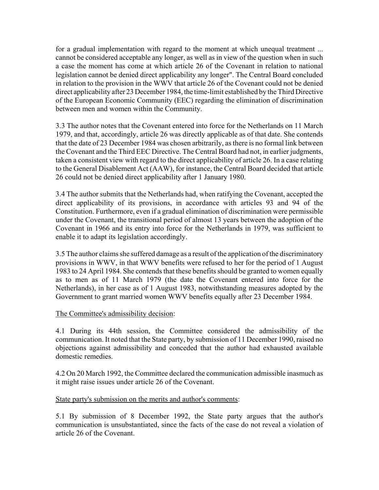for a gradual implementation with regard to the moment at which unequal treatment ... cannot be considered acceptable any longer, as well as in view of the question when in such a case the moment has come at which article 26 of the Covenant in relation to national legislation cannot be denied direct applicability any longer". The Central Board concluded in relation to the provision in the WWV that article 26 of the Covenant could not be denied direct applicability after 23 December 1984, the time-limit established by the Third Directive of the European Economic Community (EEC) regarding the elimination of discrimination between men and women within the Community.

3.3 The author notes that the Covenant entered into force for the Netherlands on 11 March 1979, and that, accordingly, article 26 was directly applicable as of that date. She contends that the date of 23 December 1984 was chosen arbitrarily, as there is no formal link between the Covenant and the Third EEC Directive. The Central Board had not, in earlier judgments, taken a consistent view with regard to the direct applicability of article 26. In a case relating to the General Disablement Act (AAW), for instance, the Central Board decided that article 26 could not be denied direct applicability after 1 January 1980.

3.4 The author submits that the Netherlands had, when ratifying the Covenant, accepted the direct applicability of its provisions, in accordance with articles 93 and 94 of the Constitution. Furthermore, even if a gradual elimination of discrimination were permissible under the Covenant, the transitional period of almost 13 years between the adoption of the Covenant in 1966 and its entry into force for the Netherlands in 1979, was sufficient to enable it to adapt its legislation accordingly.

3.5 The author claims she suffered damage as a result of the application of the discriminatory provisions in WWV, in that WWV benefits were refused to her for the period of 1 August 1983 to 24 April 1984. She contends that these benefits should be granted to women equally as to men as of 11 March 1979 (the date the Covenant entered into force for the Netherlands), in her case as of 1 August 1983, notwithstanding measures adopted by the Government to grant married women WWV benefits equally after 23 December 1984.

# The Committee's admissibility decision:

4.1 During its 44th session, the Committee considered the admissibility of the communication. It noted that the State party, by submission of 11 December 1990, raised no objections against admissibility and conceded that the author had exhausted available domestic remedies.

4.2 On 20 March 1992, the Committee declared the communication admissible inasmuch as it might raise issues under article 26 of the Covenant.

# State party's submission on the merits and author's comments:

5.1 By submission of 8 December 1992, the State party argues that the author's communication is unsubstantiated, since the facts of the case do not reveal a violation of article 26 of the Covenant.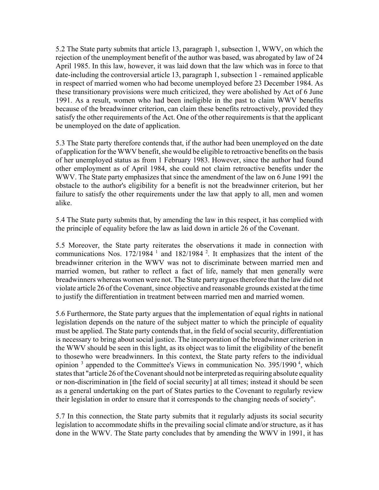5.2 The State party submits that article 13, paragraph 1, subsection 1, WWV, on which the rejection of the unemployment benefit of the author was based, was abrogated by law of 24 April 1985. In this law, however, it was laid down that the law which was in force to that date-including the controversial article 13, paragraph 1, subsection 1 - remained applicable in respect of married women who had become unemployed before 23 December 1984. As these transitionary provisions were much criticized, they were abolished by Act of 6 June 1991. As a result, women who had been ineligible in the past to claim WWV benefits because of the breadwinner criterion, can claim these benefits retroactively, provided they satisfy the other requirements of the Act. One of the other requirements is that the applicant be unemployed on the date of application.

5.3 The State party therefore contends that, if the author had been unemployed on the date of application for the WWV benefit, she would be eligible to retroactive benefits on the basis of her unemployed status as from 1 February 1983. However, since the author had found other employment as of April 1984, she could not claim retroactive benefits under the WWV. The State party emphasizes that since the amendment of the law on 6 June 1991 the obstacle to the author's eligibility for a benefit is not the breadwinner criterion, but her failure to satisfy the other requirements under the law that apply to all, men and women alike.

5.4 The State party submits that, by amending the law in this respect, it has complied with the principle of equality before the law as laid down in article 26 of the Covenant.

5.5 Moreover, the State party reiterates the observations it made in connection with communications Nos.  $172/1984<sup>-1</sup>$  and  $182/1984<sup>-2</sup>$ . It emphasizes that the intent of the breadwinner criterion in the WWV was not to discriminate between married men and married women, but rather to reflect a fact of life, namely that men generally were breadwinners whereas women were not. The State party argues therefore that the law did not violate article 26 of the Covenant, since objective and reasonable grounds existed at the time to justify the differentiation in treatment between married men and married women.

5.6 Furthermore, the State party argues that the implementation of equal rights in national legislation depends on the nature of the subject matter to which the principle of equality must be applied. The State party contends that, in the field of social security, differentiation is necessary to bring about social justice. The incorporation of the breadwinner criterion in the WWV should be seen in this light, as its object was to limit the eligibility of the benefit to thosewho were breadwinners. In this context, the State party refers to the individual opinion  $3$  appended to the Committee's Views in communication No. 395/1990 $4$ , which states that "article 26 of the Covenant should not be interpreted as requiring absolute equality or non-discrimination in [the field of social security] at all times; instead it should be seen as a general undertaking on the part of States parties to the Covenant to regularly review their legislation in order to ensure that it corresponds to the changing needs of society".

5.7 In this connection, the State party submits that it regularly adjusts its social security legislation to accommodate shifts in the prevailing social climate and/or structure, as it has done in the WWV. The State party concludes that by amending the WWV in 1991, it has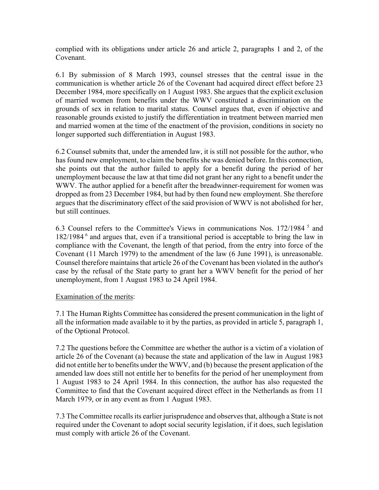complied with its obligations under article 26 and article 2, paragraphs 1 and 2, of the Covenant.

6.1 By submission of 8 March 1993, counsel stresses that the central issue in the communication is whether article 26 of the Covenant had acquired direct effect before 23 December 1984, more specifically on 1 August 1983. She argues that the explicit exclusion of married women from benefits under the WWV constituted a discrimination on the grounds of sex in relation to marital status. Counsel argues that, even if objective and reasonable grounds existed to justify the differentiation in treatment between married men and married women at the time of the enactment of the provision, conditions in society no longer supported such differentiation in August 1983.

6.2 Counsel submits that, under the amended law, it is still not possible for the author, who has found new employment, to claim the benefits she was denied before. In this connection, she points out that the author failed to apply for a benefit during the period of her unemployment because the law at that time did not grant her any right to a benefit under the WWV. The author applied for a benefit after the breadwinner-requirement for women was dropped as from 23 December 1984, but had by then found new employment. She therefore argues that the discriminatory effect of the said provision of WWV is not abolished for her, but still continues.

6.3 Counsel refers to the Committee's Views in communications Nos. 172/1984 5 and 182/1984 6 and argues that, even if a transitional period is acceptable to bring the law in compliance with the Covenant, the length of that period, from the entry into force of the Covenant (11 March 1979) to the amendment of the law (6 June 1991), is unreasonable. Counsel therefore maintains that article 26 of the Covenant has been violated in the author's case by the refusal of the State party to grant her a WWV benefit for the period of her unemployment, from 1 August 1983 to 24 April 1984.

#### Examination of the merits:

7.1 The Human Rights Committee has considered the present communication in the light of all the information made available to it by the parties, as provided in article 5, paragraph 1, of the Optional Protocol.

7.2 The questions before the Committee are whether the author is a victim of a violation of article 26 of the Covenant (a) because the state and application of the law in August 1983 did not entitle her to benefits under the WWV, and (b) because the present application of the amended law does still not entitle her to benefits for the period of her unemployment from 1 August 1983 to 24 April 1984. In this connection, the author has also requested the Committee to find that the Covenant acquired direct effect in the Netherlands as from 11 March 1979, or in any event as from 1 August 1983.

7.3 The Committee recalls its earlier jurisprudence and observes that, although a State is not required under the Covenant to adopt social security legislation, if it does, such legislation must comply with article 26 of the Covenant.